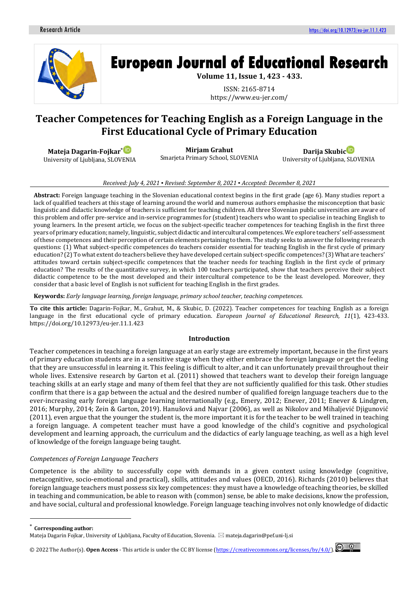

# **European Journal of Educational Research**

**Volume 11, Issue 1, 423 - 433.**

ISSN: 2165-8714 https://www.eu-jer.com/

# **Teacher Competences for Teaching English as a Foreign Language in the First Educational Cycle of Primary Education**



**Mirjam Grahut**

Smarjeta Primary School, SLOVENIA

**Darija Skubi[c](https://orcid.org/0000-0002-6024-271X)**

University of Ljubljana, SLOVENIA

#### *Received: July 4, 2021 ▪ Revised: September 8, 2021 ▪ Accepted: December 8, 2021*

**Abstract:** Foreign language teaching in the Slovenian educational context begins in the first grade (age 6). Many studies report a lack of qualified teachers at this stage of learning around the world and numerous authors emphasise the misconception that basic linguistic and didactic knowledge of teachers is sufficient for teaching children. All three Slovenian public universities are aware of this problem and offer pre-service and in-service programmes for (student) teachers who want to specialise in teaching English to young learners. In the present article, we focus on the subject-specific teacher competences for teaching English in the first three years of primary education; namely, linguistic, subject didactic and intercultural competences. We explore teachers' self-assessment of these competences and their perception of certain elements pertaining to them. The study seeks to answer the following research questions: (1) What subject-specific competences do teachers consider essential for teaching English in the first cycle of primary education? (2) To what extent do teachers believe they have developed certain subject-specific competences? (3) What are teachers' attitudes toward certain subject-specific competences that the teacher needs for teaching English in the first cycle of primary education? The results of the quantitative survey, in which 100 teachers participated, show that teachers perceive their subject didactic competence to be the most developed and their intercultural competence to be the least developed. Moreover, they consider that a basic level of English is not sufficient for teaching English in the first grades.

**Keywords:** *Early language learning, foreign language, primary school teacher, teaching competences.*

**To cite this article:** Dagarin-Fojkar, M., Grahut, M., & Skubic, D. (2022). Teacher competences for teaching English as a foreign language in the first educational cycle of primary education. *European Journal of Educational Research, 11*(1), 423-433. https://doi.org/10.12973/eu-jer.11.1.423

#### **Introduction**

Teacher competences in teaching a foreign language at an early stage are extremely important, because in the first years of primary education students are in a sensitive stage when they either embrace the foreign language or get the feeling that they are unsuccessful in learning it. This feeling is difficult to alter, and it can unfortunately prevail throughout their whole lives. Extensive research by Garton et al. (2011) showed that teachers want to develop their foreign language teaching skills at an early stage and many of them feel that they are not sufficiently qualified for this task. Other studies confirm that there is a gap between the actual and the desired number of qualified foreign language teachers due to the ever-increasing early foreign language learning internationally (e.g., Emery, 2012; Enever, 2011; Enever & Lindgren, 2016; Murphy, 2014; Zein & Garton, 2019). Hanušová and Najvar (2006), as well as Nikolov and Mihaljević Djigunović (2011), even argue that the younger the student is, the more important it is for the teacher to be well trained in teaching a foreign language. A competent teacher must have a good knowledge of the child's cognitive and psychological development and learning approach, the curriculum and the didactics of early language teaching, as well as a high level of knowledge of the foreign language being taught.

#### *Competences of Foreign Language Teachers*

Competence is the ability to successfully cope with demands in a given context using knowledge (cognitive, metacognitive, socio-emotional and practical), skills, attitudes and values (OECD, 2016). Richards (2010) believes that foreign language teachers must possess six key competences: they must have a knowledge of teaching theories, be skilled in teaching and communication, be able to reason with (common) sense, be able to make decisions, know the profession, and have social, cultural and professional knowledge. Foreign language teaching involves not only knowledge of didactic

**Corresponding author:** 

© 2022 The Author(s). **Open Access** - This article is under the CC BY license [\(https://creativecommons.org/licenses/by/4.0/\)](https://creativecommons.org/licenses/by/4.0/).



Mateja Dagarin Fojkar, University of Ljubljana, Faculty of Education, Slovenia. mateja.dagarin@pef.uni-lj.si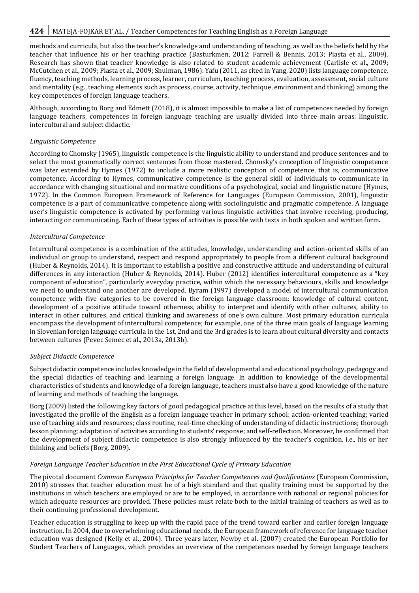# **424** MATEJA-FOJKAR ET AL. / Teacher Competences for Teaching English as a Foreign Language

methods and curricula, but also the teacher's knowledge and understanding of teaching, as well as the beliefs held by the teacher that influence his or her teaching practice (Basturkmen, 2012; Farrell & Bennis, 2013; Piasta et al., 2009). Research has shown that teacher knowledge is also related to student academic achievement (Carlisle et al., 2009; McCutchen et al., 2009; Piasta et al., 2009; Shulman, 1986). Yafu (2011, as cited in Yang, 2020) lists language competence, fluency, teaching methods, learning process, learner, curriculum, teaching process, evaluation, assessment, social culture and mentality (e.g., teaching elements such as process, course, activity, technique, environment and thinking) among the key competences of foreign language teachers.

Although, according to Borg and Edmett (2018), it is almost impossible to make a list of competences needed by foreign language teachers, competences in foreign language teaching are usually divided into three main areas: linguistic, intercultural and subject didactic.

#### *Linguistic Competence*

According to Chomsky (1965), linguistic competence is the linguistic ability to understand and produce sentences and to select the most grammatically correct sentences from those mastered. Chomsky's conception of linguistic competence was later extended by Hymes (1972) to include a more realistic conception of competence, that is, communicative competence. According to Hymes, communicative competence is the general skill of individuals to communicate in accordance with changing situational and normative conditions of a psychological, social and linguistic nature (Hymes, 1972). In the Common European Framework of Reference for Languages (European Commission, 2001), linguistic competence is a part of communicative competence along with sociolinguistic and pragmatic competence. A language user's linguistic competence is activated by performing various linguistic activities that involve receiving, producing, interacting or communicating. Each of these types of activities is possible with texts in both spoken and written form.

#### *Intercultural Competence*

Intercultural competence is a combination of the attitudes, knowledge, understanding and action-oriented skills of an individual or group to understand, respect and respond appropriately to people from a different cultural background (Huber & Reynolds, 2014). It is important to establish a positive and constructive attitude and understanding of cultural differences in any interaction (Huber & Reynolds, 2014). Huber (2012) identifies intercultural competence as a "key component of education", particularly everyday practice, within which the necessary behaviours, skills and knowledge we need to understand one another are developed. Byram (1997) developed a model of intercultural communication competence with five categories to be covered in the foreign language classroom: knowledge of cultural content, development of a positive attitude toward otherness, ability to interpret and identify with other cultures, ability to interact in other cultures, and critical thinking and awareness of one's own culture. Most primary education curricula encompass the development of intercultural competence; for example, one of the three main goals of language learning in Slovenian foreign language curricula in the 1st, 2nd and the 3rd grades is to learn about cultural diversity and contacts between cultures (Pevec Semec et al., 2013a, 2013b).

#### *Subject Didactic Competence*

Subject didactic competence includes knowledge in the field of developmental and educational psychology, pedagogy and the special didactics of teaching and learning a foreign language. In addition to knowledge of the developmental characteristics of students and knowledge of a foreign language, teachers must also have a good knowledge of the nature of learning and methods of teaching the language.

Borg (2009) listed the following key factors of good pedagogical practice at this level, based on the results of a study that investigated the profile of the English as a foreign language teacher in primary school: action-oriented teaching; varied use of teaching aids and resources; class routine, real-time checking of understanding of didactic instructions; thorough lesson planning; adaptation of activities according to students' response; and self-reflection. Moreover, he confirmed that the development of subject didactic competence is also strongly influenced by the teacher's cognition, i.e., his or her thinking and beliefs (Borg, 2009).

## *Foreign Language Teacher Education in the First Educational Cycle of Primary Education*

The pivotal document *Common European Principles for Teacher Competences and Qualifications* (European Commission, 2010) stresses that teacher education must be of a high standard and that quality training must be supported by the institutions in which teachers are employed or are to be employed, in accordance with national or regional policies for which adequate resources are provided. These policies must relate both to the initial training of teachers as well as to their continuing professional development.

Teacher education is struggling to keep up with the rapid pace of the trend toward earlier and earlier foreign language instruction. In 2004, due to overwhelming educational needs, the European framework of reference for language teacher education was designed (Kelly et al., 2004). Three years later, Newby et al. (2007) created the European Portfolio for Student Teachers of Languages, which provides an overview of the competences needed by foreign language teachers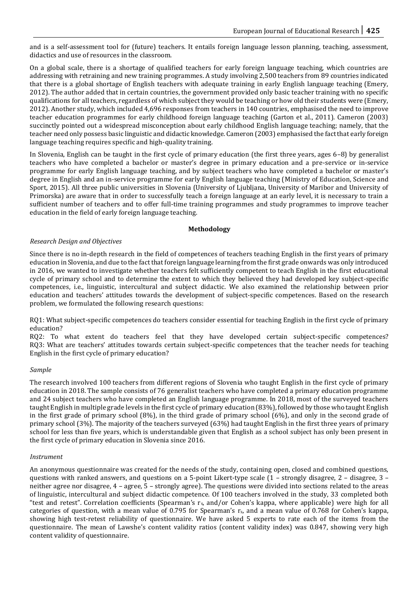and is a self-assessment tool for (future) teachers. It entails foreign language lesson planning, teaching, assessment, didactics and use of resources in the classroom.

On a global scale, there is a shortage of qualified teachers for early foreign language teaching, which countries are addressing with retraining and new training programmes. A study involving 2,500 teachers from 89 countries indicated that there is a global shortage of English teachers with adequate training in early English language teaching (Emery, 2012). The author added that in certain countries, the government provided only basic teacher training with no specific qualifications for all teachers, regardless of which subject they would be teaching or how old their students were (Emery, 2012). Another study, which included 4,696 responses from teachers in 140 countries, emphasised the need to improve teacher education programmes for early childhood foreign language teaching (Garton et al., 2011). Cameron (2003) succinctly pointed out a widespread misconception about early childhood English language teaching; namely, that the teacher need only possess basic linguistic and didactic knowledge. Cameron (2003) emphasised the fact that early foreign language teaching requires specific and high-quality training.

In Slovenia, English can be taught in the first cycle of primary education (the first three years, ages 6–8) by generalist teachers who have completed a bachelor or master's degree in primary education and a pre-service or in-service programme for early English language teaching, and by subject teachers who have completed a bachelor or master's degree in English and an in-service programme for early English language teaching (Ministry of Education, Science and Sport, 2015). All three public universities in Slovenia (University of Ljubljana, University of Maribor and University of Primorska) are aware that in order to successfully teach a foreign language at an early level, it is necessary to train a sufficient number of teachers and to offer full-time training programmes and study programmes to improve teacher education in the field of early foreign language teaching.

#### **Methodology**

#### *Research Design and Objectives*

Since there is no in-depth research in the field of competences of teachers teaching English in the first years of primary education in Slovenia, and due to the fact that foreign language learning from the first grade onwards was only introduced in 2016, we wanted to investigate whether teachers felt sufficiently competent to teach English in the first educational cycle of primary school and to determine the extent to which they believed they had developed key subject-specific competences, i.e., linguistic, intercultural and subject didactic. We also examined the relationship between prior education and teachers' attitudes towards the development of subject-specific competences. Based on the research problem, we formulated the following research questions:

RQ1: What subject-specific competences do teachers consider essential for teaching English in the first cycle of primary education?

RQ2: To what extent do teachers feel that they have developed certain subject-specific competences? RQ3: What are teachers' attitudes towards certain subject-specific competences that the teacher needs for teaching English in the first cycle of primary education?

#### *Sample*

The research involved 100 teachers from different regions of Slovenia who taught English in the first cycle of primary education in 2018. The sample consists of 76 generalist teachers who have completed a primary education programme and 24 subject teachers who have completed an English language programme. In 2018, most of the surveyed teachers taught English in multiple grade levels in the first cycle of primary education (83%), followed by those who taught English in the first grade of primary school (8%), in the third grade of primary school (6%), and only in the second grade of primary school (3%). The majority of the teachers surveyed (63%) had taught English in the first three years of primary school for less than five years, which is understandable given that English as a school subject has only been present in the first cycle of primary education in Slovenia since 2016.

#### *Instrument*

An anonymous questionnaire was created for the needs of the study, containing open, closed and combined questions, questions with ranked answers, and questions on a 5-point Likert-type scale (1 – strongly disagree, 2 – disagree, 3 – neither agree nor disagree, 4 – agree, 5 – strongly agree). The questions were divided into sections related to the areas of linguistic, intercultural and subject didactic competence. Of 100 teachers involved in the study, 33 completed both "test and retest". Correlation coefficients (Spearman's r<sub>s</sub>, and/or Cohen's kappa, where applicable) were high for all categories of question, with a mean value of 0.795 for Spearman's  $r_s$ , and a mean value of 0.768 for Cohen's kappa, showing high test-retest reliability of questionnaire. We have asked 5 experts to rate each of the items from the questionnaire. The mean of Lawshe's content validity ratios (content validity index) was 0.847, showing very high content validity of questionnaire.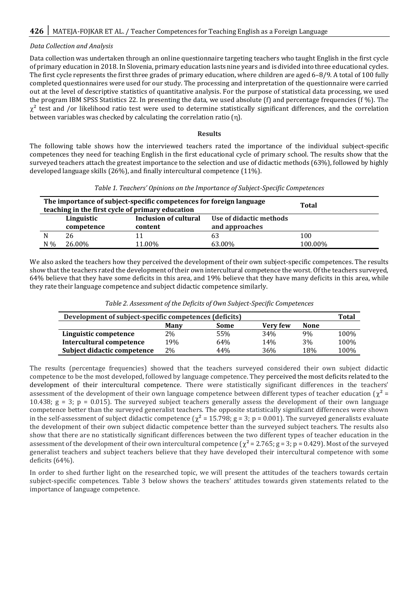## *Data Collection and Analysis*

Data collection was undertaken through an online questionnaire targeting teachers who taught English in the first cycle of primary education in 2018. In Slovenia, primary education lasts nine years and is divided into three educational cycles. The first cycle represents the first three grades of primary education, where children are aged 6–8/9. A total of 100 fully completed questionnaires were used for our study. The processing and interpretation of the questionnaire were carried out at the level of descriptive statistics of quantitative analysis. For the purpose of statistical data processing, we used the program IBM SPSS Statistics 22. In presenting the data, we used absolute (f) and percentage frequencies (f %). The  $\chi^2$  test and /or likelihood ratio test were used to determine statistically significant differences, and the correlation between variables was checked by calculating the correlation ratio  $(n)$ .

#### **Results**

The following table shows how the interviewed teachers rated the importance of the individual subject-specific competences they need for teaching English in the first educational cycle of primary school. The results show that the surveyed teachers attach the greatest importance to the selection and use of didactic methods (63%), followed by highly developed language skills (26%), and finally intercultural competence (11%).

|  | Table 1. Teachers' Opinions on the Importance of Subject-Specific Competences |  |  |
|--|-------------------------------------------------------------------------------|--|--|
|  |                                                                               |  |  |

|       | The importance of subject-specific competences for foreign language<br>teaching in the first cycle of primary education | <b>Total</b> |        |         |
|-------|-------------------------------------------------------------------------------------------------------------------------|--------------|--------|---------|
|       | Linguistic<br>competence                                                                                                |              |        |         |
|       | 26                                                                                                                      | 11           | 63     | 100     |
| $N\%$ | 26.00%                                                                                                                  | 11.00%       | 63.00% | 100.00% |

We also asked the teachers how they perceived the development of their own subject-specific competences. The results show that the teachers rated the development of their own intercultural competence the worst. Of the teachers surveyed, 64% believe that they have some deficits in this area, and 19% believe that they have many deficits in this area, while they rate their language competence and subject didactic competence similarly.

| Development of subject-specific competences (deficits) |     |     |     |     |      |  |  |  |  |
|--------------------------------------------------------|-----|-----|-----|-----|------|--|--|--|--|
| <b>Very few</b><br><b>None</b><br><b>Many</b><br>Some  |     |     |     |     |      |  |  |  |  |
| Linguistic competence                                  | 2%  | 55% | 34% | 9%  | 100% |  |  |  |  |
| Intercultural competence                               | 19% | 64% | 14% | 3%  | 100% |  |  |  |  |
| Subject didactic competence                            | 2%  | 44% | 36% | 18% | 100% |  |  |  |  |

*Table 2. Assessment of the Deficits of Own Subject-Specific Competences*

The results (percentage frequencies) showed that the teachers surveyed considered their own subject didactic competence to be the most developed, followed by language competence. They perceived the most deficits related to the development of their intercultural competence. There were statistically significant differences in the teachers' assessment of the development of their own language competence between different types of teacher education ( $\chi^2$  = 10.438;  $g = 3$ ;  $p = 0.015$ ). The surveyed subject teachers generally assess the development of their own language competence better than the surveyed generalist teachers. The opposite statistically significant differences were shown in the self-assessment of subject didactic competence ( $\chi^2$  = 15.798; g = 3; p = 0.001). The surveyed generalists evaluate the development of their own subject didactic competence better than the surveyed subject teachers. The results also show that there are no statistically significant differences between the two different types of teacher education in the assessment of the development of their own intercultural competence ( $\chi^2$  = 2.765; g = 3; p = 0.429). Most of the surveyed generalist teachers and subject teachers believe that they have developed their intercultural competence with some deficits (64%).

In order to shed further light on the researched topic, we will present the attitudes of the teachers towards certain subject-specific competences. Table 3 below shows the teachers' attitudes towards given statements related to the importance of language competence.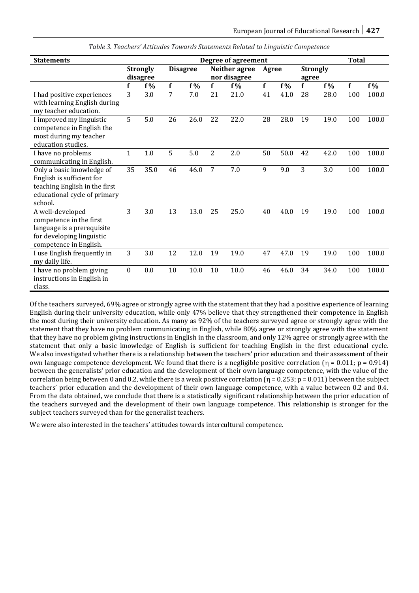| <b>Statements</b>                                                                                                                  | <b>Degree of agreement</b>  |       |                 |       |                               |       |       |       |                          | <b>Total</b> |     |       |
|------------------------------------------------------------------------------------------------------------------------------------|-----------------------------|-------|-----------------|-------|-------------------------------|-------|-------|-------|--------------------------|--------------|-----|-------|
|                                                                                                                                    | <b>Strongly</b><br>disagree |       | <b>Disagree</b> |       | Neither agree<br>nor disagree |       | Agree |       | <b>Strongly</b><br>agree |              |     |       |
|                                                                                                                                    | f                           | $f\%$ | f               | $f\%$ | $\mathbf f$                   | $f\%$ | f     | $f\%$ | f                        | $f\%$        | f   | f %   |
| I had positive experiences<br>with learning English during<br>my teacher education.                                                | 3                           | 3.0   | 7               | 7.0   | 21                            | 21.0  | 41    | 41.0  | 28                       | 28.0         | 100 | 100.0 |
| I improved my linguistic<br>competence in English the<br>most during my teacher<br>education studies.                              | 5                           | 5.0   | 26              | 26.0  | 22                            | 22.0  | 28    | 28.0  | 19                       | 19.0         | 100 | 100.0 |
| I have no problems<br>communicating in English.                                                                                    | $\mathbf{1}$                | 1.0   | 5               | 5.0   | $\overline{2}$                | 2.0   | 50    | 50.0  | 42                       | 42.0         | 100 | 100.0 |
| Only a basic knowledge of<br>English is sufficient for<br>teaching English in the first<br>educational cycle of primary<br>school. | 35                          | 35.0  | 46              | 46.0  | 7                             | 7.0   | 9     | 9.0   | 3                        | 3.0          | 100 | 100.0 |
| A well-developed<br>competence in the first<br>language is a prerequisite<br>for developing linguistic<br>competence in English.   | 3                           | 3.0   | 13              | 13.0  | 25                            | 25.0  | 40    | 40.0  | 19                       | 19.0         | 100 | 100.0 |
| I use English frequently in<br>my daily life.                                                                                      | 3                           | 3.0   | 12              | 12.0  | 19                            | 19.0  | 47    | 47.0  | 19                       | 19.0         | 100 | 100.0 |
| I have no problem giving<br>instructions in English in<br>class.                                                                   | $\boldsymbol{0}$            | 0.0   | 10              | 10.0  | 10                            | 10.0  | 46    | 46.0  | 34                       | 34.0         | 100 | 100.0 |

*Table 3. Teachers' Attitudes Towards Statements Related to Linguistic Competence*

Of the teachers surveyed, 69% agree or strongly agree with the statement that they had a positive experience of learning English during their university education, while only 47% believe that they strengthened their competence in English the most during their university education. As many as 92% of the teachers surveyed agree or strongly agree with the statement that they have no problem communicating in English, while 80% agree or strongly agree with the statement that they have no problem giving instructions in English in the classroom, and only 12% agree or strongly agree with the statement that only a basic knowledge of English is sufficient for teaching English in the first educational cycle. We also investigated whether there is a relationship between the teachers' prior education and their assessment of their own language competence development. We found that there is a negligible positive correlation ( $\eta = 0.011$ ; p = 0.914) between the generalists' prior education and the development of their own language competence, with the value of the correlation being between 0 and 0.2, while there is a weak positive correlation  $(\eta = 0.253; p = 0.011)$  between the subject teachers' prior education and the development of their own language competence, with a value between 0.2 and 0.4. From the data obtained, we conclude that there is a statistically significant relationship between the prior education of the teachers surveyed and the development of their own language competence. This relationship is stronger for the subject teachers surveyed than for the generalist teachers.

We were also interested in the teachers' attitudes towards intercultural competence.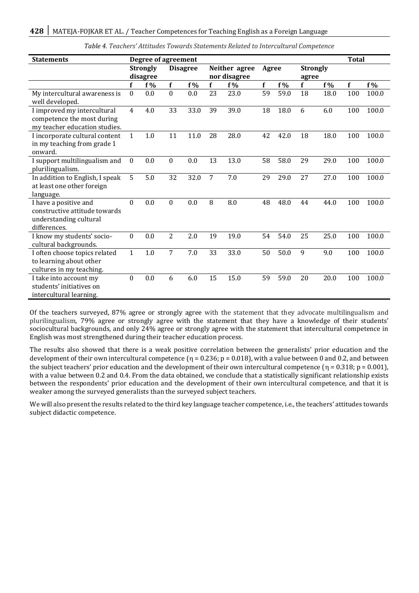| <b>Statements</b>                                                                                | Degree of agreement         |       |                 |      |                               |       |       |       |                          |      | <b>Total</b> |       |
|--------------------------------------------------------------------------------------------------|-----------------------------|-------|-----------------|------|-------------------------------|-------|-------|-------|--------------------------|------|--------------|-------|
|                                                                                                  | <b>Strongly</b><br>disagree |       | <b>Disagree</b> |      | Neither agree<br>nor disagree |       | Agree |       | <b>Strongly</b><br>agree |      |              |       |
|                                                                                                  | f                           | $f\%$ | f               | f %  | f                             | $f\%$ | f     | $f\%$ | f                        | f %  | f            | $f\%$ |
| My intercultural awareness is<br>well developed.                                                 | 0                           | 0.0   | $\mathbf{0}$    | 0.0  | 23                            | 23.0  | 59    | 59.0  | 18                       | 18.0 | 100          | 100.0 |
| I improved my intercultural<br>competence the most during<br>my teacher education studies.       | $\overline{4}$              | 4.0   | 33              | 33.0 | 39                            | 39.0  | 18    | 18.0  | 6                        | 6.0  | 100          | 100.0 |
| I incorporate cultural content<br>in my teaching from grade 1<br>onward.                         | $\mathbf{1}$                | 1.0   | 11              | 11.0 | 28                            | 28.0  | 42    | 42.0  | 18                       | 18.0 | 100          | 100.0 |
| I support multilingualism and<br>plurilingualism.                                                | $\theta$                    | 0.0   | $\theta$        | 0.0  | 13                            | 13.0  | 58    | 58.0  | 29                       | 29.0 | 100          | 100.0 |
| In addition to English, I speak<br>at least one other foreign<br>language.                       | 5                           | 5.0   | 32              | 32.0 | $\overline{7}$                | 7.0   | 29    | 29.0  | 27                       | 27.0 | 100          | 100.0 |
| I have a positive and<br>constructive attitude towards<br>understanding cultural<br>differences. | 0                           | 0.0   | $\theta$        | 0.0  | 8                             | 8.0   | 48    | 48.0  | 44                       | 44.0 | 100          | 100.0 |
| I know my students' socio-<br>cultural backgrounds.                                              | $\Omega$                    | 0.0   | 2               | 2.0  | 19                            | 19.0  | 54    | 54.0  | 25                       | 25.0 | 100          | 100.0 |
| I often choose topics related<br>to learning about other<br>cultures in my teaching.             | $\mathbf{1}$                | 1.0   | 7               | 7.0  | 33                            | 33.0  | 50    | 50.0  | 9                        | 9.0  | 100          | 100.0 |
| I take into account my<br>students' initiatives on<br>intercultural learning.                    | $\theta$                    | 0.0   | 6               | 6.0  | 15                            | 15.0  | 59    | 59.0  | 20                       | 20.0 | 100          | 100.0 |

| Table 4. Teachers' Attitudes Towards Statements Related to Intercultural Competence |  |
|-------------------------------------------------------------------------------------|--|
|-------------------------------------------------------------------------------------|--|

Of the teachers surveyed, 87% agree or strongly agree with the statement that they advocate multilingualism and plurilingualism, 79% agree or strongly agree with the statement that they have a knowledge of their students' sociocultural backgrounds, and only 24% agree or strongly agree with the statement that intercultural competence in English was most strengthened during their teacher education process.

The results also showed that there is a weak positive correlation between the generalists' prior education and the development of their own intercultural competence ( $\eta$  = 0.236; p = 0.018), with a value between 0 and 0.2, and between the subject teachers' prior education and the development of their own intercultural competence ( $\eta$  = 0.318; p = 0.001), with a value between 0.2 and 0.4. From the data obtained, we conclude that a statistically significant relationship exists between the respondents' prior education and the development of their own intercultural competence, and that it is weaker among the surveyed generalists than the surveyed subject teachers.

We will also present the results related to the third key language teacher competence, i.e., the teachers' attitudes towards subject didactic competence.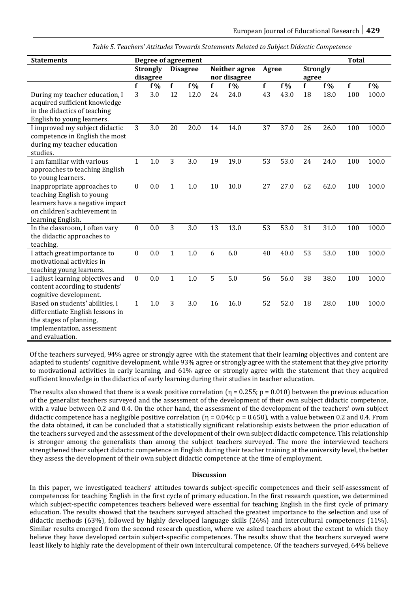| Table 5. Teachers' Attitudes Towards Statements Related to Subject Didactic Competence |  |
|----------------------------------------------------------------------------------------|--|
|----------------------------------------------------------------------------------------|--|

| <b>Statements</b>                                                                                                                                | Degree of agreement |                 |                |                 |                |               |             |      |                 |       | <b>Total</b> |       |
|--------------------------------------------------------------------------------------------------------------------------------------------------|---------------------|-----------------|----------------|-----------------|----------------|---------------|-------------|------|-----------------|-------|--------------|-------|
|                                                                                                                                                  |                     | <b>Strongly</b> |                | <b>Disagree</b> |                | Neither agree | Agree       |      | <b>Strongly</b> |       |              |       |
|                                                                                                                                                  |                     | disagree        |                |                 |                | nor disagree  |             |      | agree           |       |              |       |
|                                                                                                                                                  | f                   | $f\%$           | f              | $f\%$           | f              | f %           | $\mathbf f$ | f %  | f               | $f\%$ | $\mathbf f$  | $f\%$ |
| During my teacher education, I<br>acquired sufficient knowledge<br>in the didactics of teaching<br>English to young learners.                    | 3                   | 3.0             | 12             | 12.0            | 24             | 24.0          | 43          | 43.0 | 18              | 18.0  | 100          | 100.0 |
| I improved my subject didactic<br>competence in English the most<br>during my teacher education<br>studies.                                      | 3                   | 3.0             | 20             | 20.0            | 14             | 14.0          | 37          | 37.0 | 26              | 26.0  | 100          | 100.0 |
| I am familiar with various<br>approaches to teaching English<br>to young learners.                                                               | $\mathbf{1}$        | 1.0             | 3              | 3.0             | 19             | 19.0          | 53          | 53.0 | 24              | 24.0  | 100          | 100.0 |
| Inappropriate approaches to<br>teaching English to young<br>learners have a negative impact<br>on children's achievement in<br>learning English. | $\boldsymbol{0}$    | 0.0             | $\mathbf{1}$   | 1.0             | 10             | 10.0          | 27          | 27.0 | 62              | 62.0  | 100          | 100.0 |
| In the classroom, I often vary<br>the didactic approaches to<br>teaching.                                                                        | $\boldsymbol{0}$    | 0.0             | $\overline{3}$ | 3.0             | 13             | 13.0          | 53          | 53.0 | 31              | 31.0  | 100          | 100.0 |
| I attach great importance to<br>motivational activities in<br>teaching young learners.                                                           | $\boldsymbol{0}$    | 0.0             | $\mathbf{1}$   | 1.0             | 6              | 6.0           | 40          | 40.0 | 53              | 53.0  | 100          | 100.0 |
| I adjust learning objectives and<br>content according to students'<br>cognitive development.                                                     | $\boldsymbol{0}$    | 0.0             | $\mathbf{1}$   | 1.0             | $\overline{5}$ | 5.0           | 56          | 56.0 | 38              | 38.0  | 100          | 100.0 |
| Based on students' abilities, I<br>differentiate English lessons in<br>the stages of planning,<br>implementation, assessment<br>and evaluation.  | $\mathbf{1}$        | 1.0             | 3              | 3.0             | 16             | 16.0          | 52          | 52.0 | 18              | 28.0  | 100          | 100.0 |

Of the teachers surveyed, 94% agree or strongly agree with the statement that their learning objectives and content are adapted to students' cognitive development, while 93% agree or strongly agree with the statement that they give priority to motivational activities in early learning, and 61% agree or strongly agree with the statement that they acquired sufficient knowledge in the didactics of early learning during their studies in teacher education.

The results also showed that there is a weak positive correlation ( $\eta$  = 0.255; p = 0.010) between the previous education of the generalist teachers surveyed and the assessment of the development of their own subject didactic competence, with a value between 0.2 and 0.4. On the other hand, the assessment of the development of the teachers' own subject didactic competence has a negligible positive correlation  $(n = 0.046; p = 0.650)$ , with a value between 0.2 and 0.4. From the data obtained, it can be concluded that a statistically significant relationship exists between the prior education of the teachers surveyed and the assessment of the development of their own subject didactic competence. This relationship is stronger among the generalists than among the subject teachers surveyed. The more the interviewed teachers strengthened their subject didactic competence in English during their teacher training at the university level, the better they assess the development of their own subject didactic competence at the time of employment.

#### **Discussion**

In this paper, we investigated teachers' attitudes towards subject-specific competences and their self-assessment of competences for teaching English in the first cycle of primary education. In the first research question, we determined which subject-specific competences teachers believed were essential for teaching English in the first cycle of primary education. The results showed that the teachers surveyed attached the greatest importance to the selection and use of didactic methods (63%), followed by highly developed language skills (26%) and intercultural competences (11%). Similar results emerged from the second research question, where we asked teachers about the extent to which they believe they have developed certain subject-specific competences. The results show that the teachers surveyed were least likely to highly rate the development of their own intercultural competence. Of the teachers surveyed, 64% believe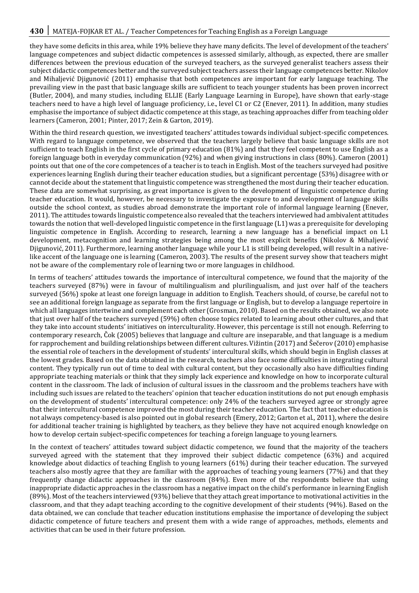they have some deficits in this area, while 19% believe they have many deficits. The level of development of the teachers' language competences and subject didactic competences is assessed similarly, although, as expected, there are smaller differences between the previous education of the surveyed teachers, as the surveyed generalist teachers assess their subject didactic competences better and the surveyed subject teachers assess their language competences better. Nikolov and Mihaljević Djigunović (2011) emphasise that both competences are important for early language teaching. The prevailing view in the past that basic language skills are sufficient to teach younger students has been proven incorrect (Butler, 2004), and many studies, including ELLIE (Early Language Learning in Europe), have shown that early-stage teachers need to have a high level of language proficiency, i.e., level C1 or C2 (Enever, 2011). In addition, many studies emphasise the importance of subject didactic competence at this stage, as teaching approaches differ from teaching older learners (Cameron, 2001; Pinter, 2017; Zein & Garton, 2019).

Within the third research question, we investigated teachers' attitudes towards individual subject-specific competences. With regard to language competence, we observed that the teachers largely believe that basic language skills are not sufficient to teach English in the first cycle of primary education (81%) and that they feel competent to use English as a foreign language both in everyday communication (92%) and when giving instructions in class (80%). Cameron (2001) points out that one of the core competences of a teacher is to teach in English. Most of the teachers surveyed had positive experiences learning English during their teacher education studies, but a significant percentage (53%) disagree with or cannot decide about the statement that linguistic competence was strengthened the most during their teacher education. These data are somewhat surprising, as great importance is given to the development of linguistic competence during teacher education. It would, however, be necessary to investigate the exposure to and development of language skills outside the school context, as studies abroad demonstrate the important role of informal language learning (Enever, 2011). The attitudes towards linguistic competence also revealed that the teachers interviewed had ambivalent attitudes towards the notion that well-developed linguistic competence in the first language (L1) was a prerequisite for developing linguistic competence in English. According to research, learning a new language has a beneficial impact on L1 development, metacognition and learning strategies being among the most explicit benefits (Nikolov & Mihaljević Djigunović, 2011). Furthermore, learning another language while your L1 is still being developed, will result in a nativelike accent of the language one is learning (Cameron, 2003). The results of the present survey show that teachers might not be aware of the complementary role of learning two or more languages in childhood.

In terms of teachers' attitudes towards the importance of intercultural competence, we found that the majority of the teachers surveyed (87%) were in favour of multilingualism and plurilingualism, and just over half of the teachers surveyed (56%) spoke at least one foreign language in addition to English. Teachers should, of course, be careful not to see an additional foreign language as separate from the first language or English, but to develop a language repertoire in which all languages intertwine and complement each other (Grosman, 2010). Based on the results obtained, we also note that just over half of the teachers surveyed (59%) often choose topics related to learning about other cultures, and that they take into account students' initiatives on interculturality. However, this percentage is still not enough. Referring to contemporary research, Čok (2005) believes that language and culture are inseparable, and that language is a medium for rapprochement and building relationships between different cultures. Vižintin (2017) and Šečerov (2010) emphasise the essential role of teachers in the development of students' intercultural skills, which should begin in English classes at the lowest grades. Based on the data obtained in the research, teachers also face some difficulties in integrating cultural content. They typically run out of time to deal with cultural content, but they occasionally also have difficulties finding appropriate teaching materials or think that they simply lack experience and knowledge on how to incorporate cultural content in the classroom. The lack of inclusion of cultural issues in the classroom and the problems teachers have with including such issues are related to the teachers' opinion that teacher education institutions do not put enough emphasis on the development of students' intercultural competence: only 24% of the teachers surveyed agree or strongly agree that their intercultural competence improved the most during their teacher education. The fact that teacher education is not always competency-based is also pointed out in global research (Emery, 2012; Garton et al., 2011), where the desire for additional teacher training is highlighted by teachers, as they believe they have not acquired enough knowledge on how to develop certain subject-specific competences for teaching a foreign language to young learners.

In the context of teachers' attitudes toward subject didactic competence, we found that the majority of the teachers surveyed agreed with the statement that they improved their subject didactic competence (63%) and acquired knowledge about didactics of teaching English to young learners (61%) during their teacher education. The surveyed teachers also mostly agree that they are familiar with the approaches of teaching young learners (77%) and that they frequently change didactic approaches in the classroom (84%). Even more of the respondents believe that using inappropriate didactic approaches in the classroom has a negative impact on the child's performance in learning English (89%). Most of the teachers interviewed (93%) believe that they attach great importance to motivational activities in the classroom, and that they adapt teaching according to the cognitive development of their students (94%). Based on the data obtained, we can conclude that teacher education institutions emphasise the importance of developing the subject didactic competence of future teachers and present them with a wide range of approaches, methods, elements and activities that can be used in their future profession.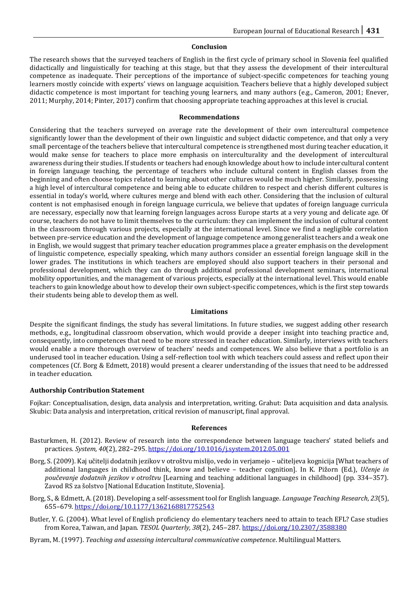#### **Conclusion**

The research shows that the surveyed teachers of English in the first cycle of primary school in Slovenia feel qualified didactically and linguistically for teaching at this stage, but that they assess the development of their intercultural competence as inadequate. Their perceptions of the importance of subject-specific competences for teaching young learners mostly coincide with experts' views on language acquisition. Teachers believe that a highly developed subject didactic competence is most important for teaching young learners, and many authors (e.g., Cameron, 2001; Enever, 2011; Murphy, 2014; Pinter, 2017) confirm that choosing appropriate teaching approaches at this level is crucial.

#### **Recommendations**

Considering that the teachers surveyed on average rate the development of their own intercultural competence significantly lower than the development of their own linguistic and subject didactic competence, and that only a very small percentage of the teachers believe that intercultural competence is strengthened most during teacher education, it would make sense for teachers to place more emphasis on interculturality and the development of intercultural awareness during their studies. If students or teachers had enough knowledge about how to include intercultural content in foreign language teaching, the percentage of teachers who include cultural content in English classes from the beginning and often choose topics related to learning about other cultures would be much higher. Similarly, possessing a high level of intercultural competence and being able to educate children to respect and cherish different cultures is essential in today's world, where cultures merge and blend with each other. Considering that the inclusion of cultural content is not emphasised enough in foreign language curricula, we believe that updates of foreign language curricula are necessary, especially now that learning foreign languages across Europe starts at a very young and delicate age. Of course, teachers do not have to limit themselves to the curriculum: they can implement the inclusion of cultural content in the classroom through various projects, especially at the international level. Since we find a negligible correlation between pre-service education and the development of language competence among generalist teachers and a weak one in English, we would suggest that primary teacher education programmes place a greater emphasis on the development of linguistic competence, especially speaking, which many authors consider an essential foreign language skill in the lower grades. The institutions in which teachers are employed should also support teachers in their personal and professional development, which they can do through additional professional development seminars, international mobility opportunities, and the management of various projects, especially at the international level. This would enable teachers to gain knowledge about how to develop their own subject-specific competences, which is the first step towards their students being able to develop them as well.

#### **Limitations**

Despite the significant findings, the study has several limitations. In future studies, we suggest adding other research methods, e.g., longitudinal classroom observation, which would provide a deeper insight into teaching practice and, consequently, into competences that need to be more stressed in teacher education. Similarly, interviews with teachers would enable a more thorough overview of teachers' needs and competences. We also believe that a portfolio is an underused tool in teacher education. Using a self-reflection tool with which teachers could assess and reflect upon their competences (Cf. Borg & Edmett, 2018) would present a clearer understanding of the issues that need to be addressed in teacher education.

#### **Authorship Contribution Statement**

Fojkar: Conceptualisation, design, data analysis and interpretation, writing. Grahut: Data acquisition and data analysis. Skubic: Data analysis and interpretation, critical revision of manuscript, final approval.

#### **References**

- Basturkmen, H. (2012). Review of research into the correspondence between language teachers' stated beliefs and practices. *System, 40*(2), 282–295[. https://doi.org/10.1016/j.system.2012.05.001](https://doi.org/10.1016/j.system.2012.05.001)
- Borg, S. (2009). Kaj učitelji dodatnih jezikov v otroštvu mislijo, vedo in verjamejo učiteljeva kognicija [What teachers of additional languages in childhood think, know and believe – teacher cognition]. In K. Pižorn (Ed.), *Učenje in poučevanje dodatnih jezikov v otroštvu* [Learning and teaching additional languages in childhood] (pp. 334‒357). Zavod RS za šolstvo [National Education Institute, Slovenia].
- Borg, S., & Edmett, A. (2018). Developing a self-assessment tool for English language. *Language Teaching Research, 23*(5), 655–679[. https://doi.org/10.1177/1362168817752543](https://doi.org/10.1177/1362168817752543)
- Butler, Y. G. (2004). What level of English proficiency do elementary teachers need to attain to teach EFL? Case studies from Korea, Taiwan, and Japan. *TESOL Quarterly, 38*(2), 245-287. <https://doi.org/10.2307/3588380>

Byram, M. (1997). *Teaching and assessing intercultural communicative competence*. Multilingual Matters.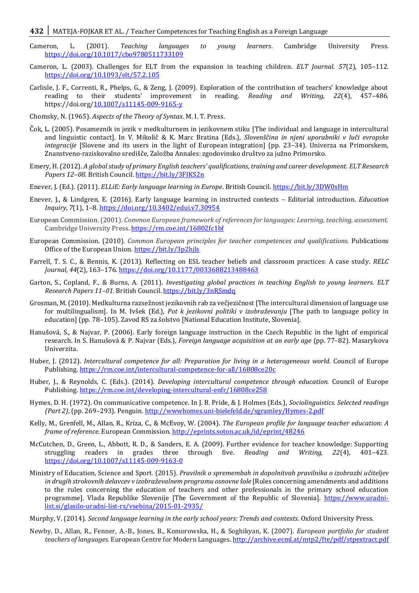#### **432** MATEJA-FOJKAR ET AL. / Teacher Competences for Teaching English as a Foreign Language

- Cameron, L. (2001). *Teaching languages to young learners*. Cambridge University Press. <https://doi.org/10.1017/cbo9780511733109>
- Cameron, L. (2003). Challenges for ELT from the expansion in teaching children. *ELT Journal. 57*(2), 105–112. <https://doi.org/10.1093/elt/57.2.105>
- Carlisle, J. F., Correnti, R., Phelps, G., & Zeng, J. (2009). Exploration of the contribution of teachers' knowledge about reading to their students' improvement in reading. *Reading and Writing, 22*(4), 457–486. https://doi.org[/10.1007/s11145-009-9165-y](http://dx.doi.org/10.1007/s11145-009-9165-y)
- Chomsky, N. (1965). *Aspects of the Theory of Syntax*. M. I. T. Press.
- Čok, L. (2005). Posameznik in jezik v medkulturnem in jezikovnem stiku [The individual and language in intercultural and linguistic contact]. In V. Mikolič & K. Marc Bratina (Eds.), *Slovenščina in njeni uporabniki v luči evropske integracije* [Slovene and its users in the light of European integration] (pp. 23–34). Univerza na Primorskem, Znanstveno-raziskovalno središče, Založba Annales: zgodovinsko društvo za južno Primorsko.
- Emery, H. (2012). *A global study of primary English teachers' qualifications, training and career development. ELT Research*  Papers 12-08. British Council.<https://bit.ly/3FIKS2n>
- Enever, J. (Ed.). (2011). *ELLiE: Early language learning in Europe*. British Council.<https://bit.ly/3DW0sHm>
- Enever, J., & Lindgren, E. (2016). Early language learning in instructed contexts Editorial introduction. *Education Inquiry, 7*(1), 1–8[. https://doi.org/10.3402/edui.v7.30954](https://doi.org/10.3402/edui.v7.30954)
- European Commission. (2001). *Common European framework of references for languages: Learning, teaching, assessment.* Cambridge University Press.<https://rm.coe.int/16802fc1bf>
- European Commission. (2010). *Common European principles for teacher competences and qualifications.* Publications Office of the European Union.<https://bit.ly/3p2hjls>
- Farrell, T. S. C., & Bennis, K. (2013). Reflecting on ESL teacher beliefs and classroom practices: A case study. *RELC Journal, 44*(2), 163–176[. https://doi.org/10.1177/0033688213488463](https://doi.org/10.1177/0033688213488463)
- Garton, S., Copland, F., & Burns, A. (2011). *Investigating global practices in teaching English to young learners. ELT Research Papers 11–01.* British Council[. https://bit.ly/3nRSmdq](https://bit.ly/3nRSmdq)
- Grosman, M. (2010). Medkulturna razsežnost jezikovnih rab za večjezičnost [The intercultural dimension of language use for multilingualism]. In M. Ivšek (Ed.), *Pot k jezikovni politiki v izobraževanju* [The path to language policy in education] (pp. 78-105). Zavod RS za šolstvo [National Education Institute, Slovenia].
- Hanušová, S., & Najvar, P. (2006). Early foreign language instruction in the Czech Republic in the light of empirical research. In S. Hanušová & P. Najvar (Eds.), *Foreign language acquisition at an early age* (pp. 77–82). Masarykova Univerzita.
- Huber, J. (2012). *Intercultural competence for all: Preparation for living in a heterogeneous world.* Council of Europe Publishing[. https://rm.coe.int/intercultural-competence-for-all/16808ce20c](https://rm.coe.int/intercultural-competence-for-all/16808ce20c)
- Huber, J., & Reynolds, C. (Eds.). (2014). *Developing intercultural competence through education.* Council of Europe Publishing[. https://rm.coe.int/developing-intercultural-enfr/16808ce258](https://rm.coe.int/developing-intercultural-enfr/16808ce258)
- Hymes, D. H. (1972). On communicative competence. In J. B. Pride, & J. Holmes (Eds.), *Sociolinguistics. Selected readings (Part 2)*, (pp. 269–293). Penguin.<http://wwwhomes.uni-bielefeld.de/sgramley/Hymes-2.pdf>
- Kelly, M., Grenfell, M., Allan, R., Kriza, C., & McEvoy, W. (2004). *The European profile for language teacher education: A frame of reference.* European Commission.<http://eprints.soton.ac.uk/id/eprint/48246>
- McCutchen, D., Green, L., Abbott, R. D., & Sanders, E. A. (2009). Further evidence for teacher knowledge: Supporting struggling readers in grades three through five. *Reading and Writing, 22*(4)*,* 401–423. [https://doi.org/10.1007/s11145-009-9163-0](https://psycnet.apa.org/doi/10.1007/s11145-009-9163-0)
- Ministry of Education, Science and Sport. (2015). *Pravilnik o spremembah in dopolnitvah pravilnika o izobrazbi učiteljev in drugih strokovnih delavcev v izobraževalnem programu osnovne šole* [Rules concerning amendments and additions to the rules concerning the education of teachers and other professionals in the primary school education programme]*.* Vlada Republike Slovenije [The Government of the Republic of Slovenia]. [https://www.uradni](https://www.uradni-list.si/glasilo-uradni-list-rs/vsebina/2015-01-2935/)[list.si/glasilo-uradni-list-rs/vsebina/2015-01-2935/](https://www.uradni-list.si/glasilo-uradni-list-rs/vsebina/2015-01-2935/)
- Murphy, V. (2014). *Second language learning in the early school years: Trends and contexts*. Oxford University Press.
- Newby, D., Allan, R., Fenner, A.-B., Jones, B., Komorowska, H., & Soghikyan, K. (2007). *European portfolio for student teachers of languages.* European Centre for Modern Languages[. http://archive.ecml.at/mtp2/fte/pdf/stpextract.pdf](http://archive.ecml.at/mtp2/fte/pdf/stpextract.pdf)